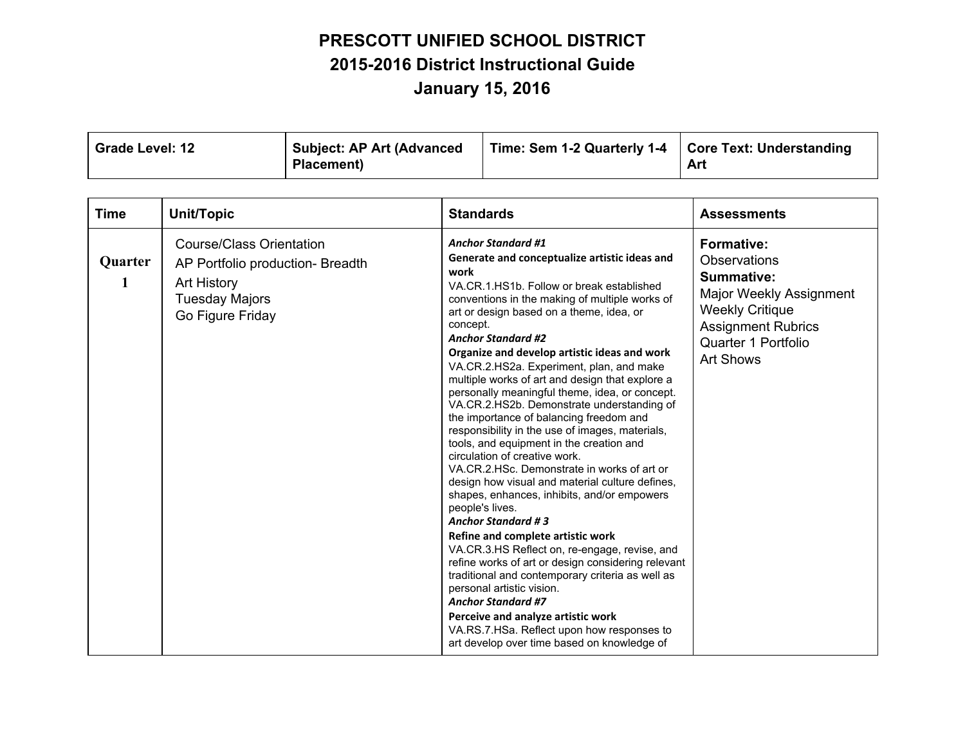| <b>Grade Level: 12</b> | <b>Subject: AP Art (Advanced)</b> | Time: Sem 1-2 Quarterly 1-4   Core Text: Understanding |     |
|------------------------|-----------------------------------|--------------------------------------------------------|-----|
|                        | Placement)                        |                                                        | Art |

| <b>Time</b>  | Unit/Topic                                                                                                                      | <b>Standards</b>                                                                                                                                                                                                                                                                                                                                                                                                                                                                                                                                                                                                                                                                                                                                                                                                                                                                                                                                                                                                                                                                                                                                                                                                                                                                               | <b>Assessments</b>                                                                                                                                                                         |
|--------------|---------------------------------------------------------------------------------------------------------------------------------|------------------------------------------------------------------------------------------------------------------------------------------------------------------------------------------------------------------------------------------------------------------------------------------------------------------------------------------------------------------------------------------------------------------------------------------------------------------------------------------------------------------------------------------------------------------------------------------------------------------------------------------------------------------------------------------------------------------------------------------------------------------------------------------------------------------------------------------------------------------------------------------------------------------------------------------------------------------------------------------------------------------------------------------------------------------------------------------------------------------------------------------------------------------------------------------------------------------------------------------------------------------------------------------------|--------------------------------------------------------------------------------------------------------------------------------------------------------------------------------------------|
| Quarter<br>1 | <b>Course/Class Orientation</b><br>AP Portfolio production- Breadth<br>Art History<br><b>Tuesday Majors</b><br>Go Figure Friday | <b>Anchor Standard #1</b><br>Generate and conceptualize artistic ideas and<br>work<br>VA.CR.1.HS1b. Follow or break established<br>conventions in the making of multiple works of<br>art or design based on a theme, idea, or<br>concept.<br><b>Anchor Standard #2</b><br>Organize and develop artistic ideas and work<br>VA.CR.2.HS2a. Experiment, plan, and make<br>multiple works of art and design that explore a<br>personally meaningful theme, idea, or concept.<br>VA.CR.2.HS2b. Demonstrate understanding of<br>the importance of balancing freedom and<br>responsibility in the use of images, materials,<br>tools, and equipment in the creation and<br>circulation of creative work.<br>VA.CR.2.HSc. Demonstrate in works of art or<br>design how visual and material culture defines,<br>shapes, enhances, inhibits, and/or empowers<br>people's lives.<br><b>Anchor Standard #3</b><br>Refine and complete artistic work<br>VA.CR.3.HS Reflect on, re-engage, revise, and<br>refine works of art or design considering relevant<br>traditional and contemporary criteria as well as<br>personal artistic vision.<br><b>Anchor Standard #7</b><br>Perceive and analyze artistic work<br>VA.RS.7.HSa. Reflect upon how responses to<br>art develop over time based on knowledge of | <b>Formative:</b><br><b>Observations</b><br><b>Summative:</b><br>Major Weekly Assignment<br><b>Weekly Critique</b><br><b>Assignment Rubrics</b><br>Quarter 1 Portfolio<br><b>Art Shows</b> |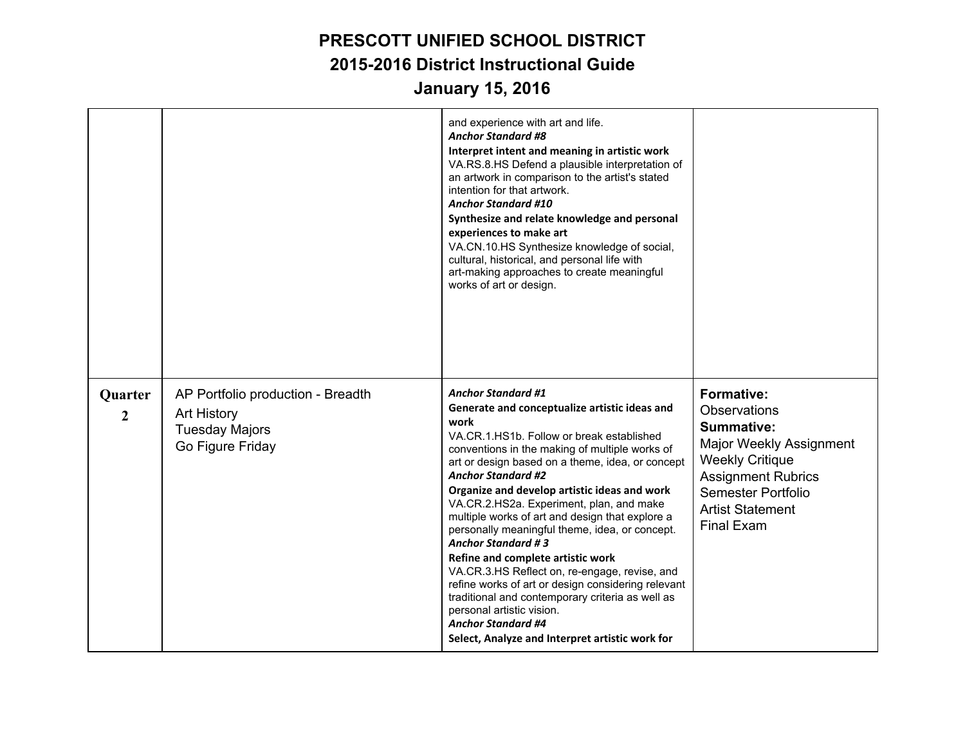|                           |                                                                                                      | and experience with art and life.<br><b>Anchor Standard #8</b><br>Interpret intent and meaning in artistic work<br>VA.RS.8.HS Defend a plausible interpretation of<br>an artwork in comparison to the artist's stated<br>intention for that artwork.<br><b>Anchor Standard #10</b><br>Synthesize and relate knowledge and personal<br>experiences to make art<br>VA.CN.10.HS Synthesize knowledge of social,<br>cultural, historical, and personal life with<br>art-making approaches to create meaningful<br>works of art or design.                                                                                                                                                                                                                                                                         |                                                                                                                                                                                                                |
|---------------------------|------------------------------------------------------------------------------------------------------|---------------------------------------------------------------------------------------------------------------------------------------------------------------------------------------------------------------------------------------------------------------------------------------------------------------------------------------------------------------------------------------------------------------------------------------------------------------------------------------------------------------------------------------------------------------------------------------------------------------------------------------------------------------------------------------------------------------------------------------------------------------------------------------------------------------|----------------------------------------------------------------------------------------------------------------------------------------------------------------------------------------------------------------|
| Quarter<br>$\overline{2}$ | AP Portfolio production - Breadth<br><b>Art History</b><br><b>Tuesday Majors</b><br>Go Figure Friday | <b>Anchor Standard #1</b><br>Generate and conceptualize artistic ideas and<br>work<br>VA.CR.1.HS1b. Follow or break established<br>conventions in the making of multiple works of<br>art or design based on a theme, idea, or concept<br><b>Anchor Standard #2</b><br>Organize and develop artistic ideas and work<br>VA.CR.2.HS2a. Experiment, plan, and make<br>multiple works of art and design that explore a<br>personally meaningful theme, idea, or concept.<br><b>Anchor Standard #3</b><br>Refine and complete artistic work<br>VA.CR.3.HS Reflect on, re-engage, revise, and<br>refine works of art or design considering relevant<br>traditional and contemporary criteria as well as<br>personal artistic vision.<br><b>Anchor Standard #4</b><br>Select, Analyze and Interpret artistic work for | <b>Formative:</b><br>Observations<br>Summative:<br><b>Major Weekly Assignment</b><br><b>Weekly Critique</b><br><b>Assignment Rubrics</b><br>Semester Portfolio<br><b>Artist Statement</b><br><b>Final Exam</b> |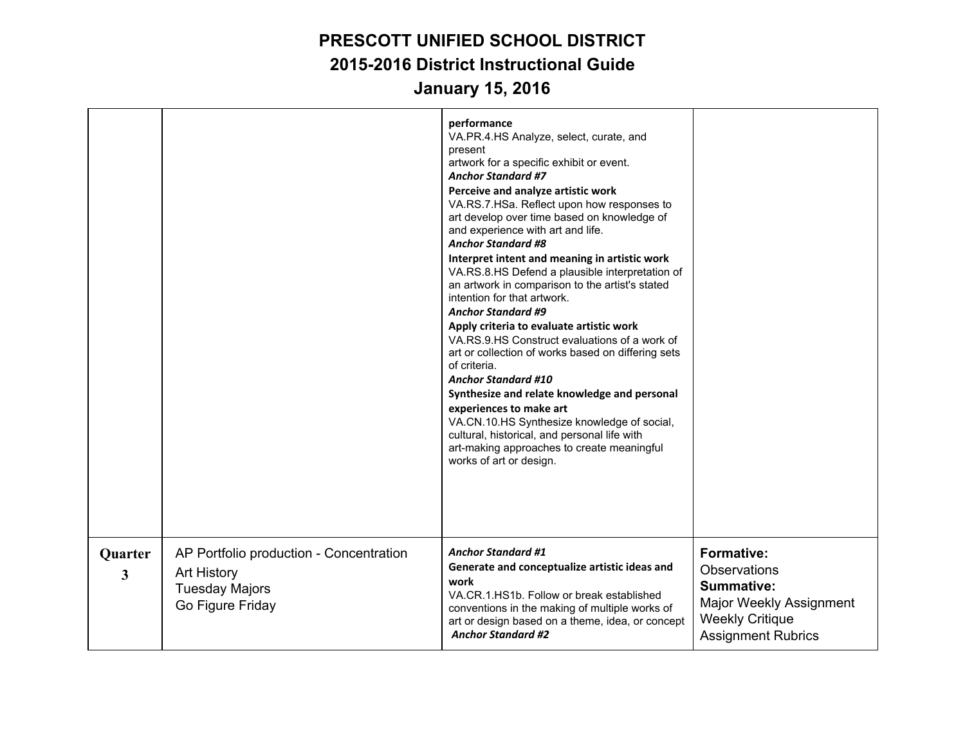|              |                                                                                                            | performance<br>VA.PR.4.HS Analyze, select, curate, and<br>present<br>artwork for a specific exhibit or event.<br><b>Anchor Standard #7</b><br>Perceive and analyze artistic work<br>VA.RS.7.HSa. Reflect upon how responses to<br>art develop over time based on knowledge of<br>and experience with art and life.<br><b>Anchor Standard #8</b><br>Interpret intent and meaning in artistic work<br>VA.RS.8.HS Defend a plausible interpretation of<br>an artwork in comparison to the artist's stated<br>intention for that artwork.<br><b>Anchor Standard #9</b><br>Apply criteria to evaluate artistic work<br>VA.RS.9.HS Construct evaluations of a work of<br>art or collection of works based on differing sets<br>of criteria.<br><b>Anchor Standard #10</b><br>Synthesize and relate knowledge and personal<br>experiences to make art<br>VA.CN.10.HS Synthesize knowledge of social,<br>cultural, historical, and personal life with<br>art-making approaches to create meaningful<br>works of art or design. |                                                                                                                                          |
|--------------|------------------------------------------------------------------------------------------------------------|------------------------------------------------------------------------------------------------------------------------------------------------------------------------------------------------------------------------------------------------------------------------------------------------------------------------------------------------------------------------------------------------------------------------------------------------------------------------------------------------------------------------------------------------------------------------------------------------------------------------------------------------------------------------------------------------------------------------------------------------------------------------------------------------------------------------------------------------------------------------------------------------------------------------------------------------------------------------------------------------------------------------|------------------------------------------------------------------------------------------------------------------------------------------|
|              |                                                                                                            |                                                                                                                                                                                                                                                                                                                                                                                                                                                                                                                                                                                                                                                                                                                                                                                                                                                                                                                                                                                                                        |                                                                                                                                          |
| Quarter<br>3 | AP Portfolio production - Concentration<br><b>Art History</b><br><b>Tuesday Majors</b><br>Go Figure Friday | <b>Anchor Standard #1</b><br>Generate and conceptualize artistic ideas and<br>work<br>VA.CR.1.HS1b. Follow or break established<br>conventions in the making of multiple works of<br>art or design based on a theme, idea, or concept<br><b>Anchor Standard #2</b>                                                                                                                                                                                                                                                                                                                                                                                                                                                                                                                                                                                                                                                                                                                                                     | <b>Formative:</b><br>Observations<br><b>Summative:</b><br>Major Weekly Assignment<br><b>Weekly Critique</b><br><b>Assignment Rubrics</b> |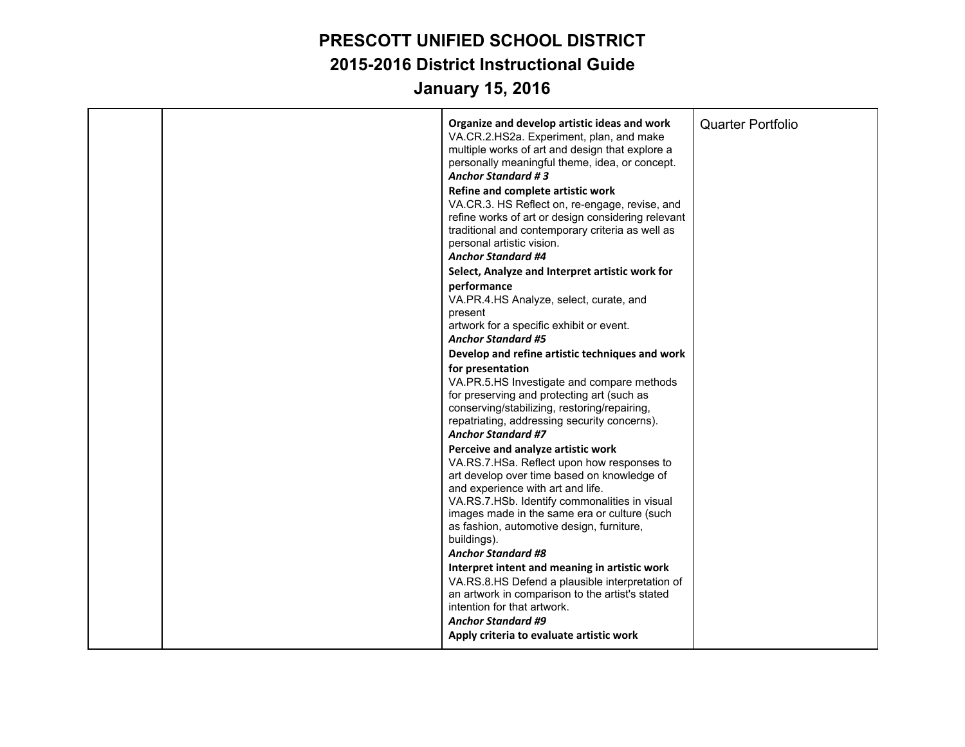|  | Organize and develop artistic ideas and work<br>VA.CR.2.HS2a. Experiment, plan, and make<br>multiple works of art and design that explore a<br>personally meaningful theme, idea, or concept.<br><b>Anchor Standard #3</b><br>Refine and complete artistic work<br>VA.CR.3. HS Reflect on, re-engage, revise, and<br>refine works of art or design considering relevant<br>traditional and contemporary criteria as well as<br>personal artistic vision.<br><b>Anchor Standard #4</b> | <b>Quarter Portfolio</b> |
|--|---------------------------------------------------------------------------------------------------------------------------------------------------------------------------------------------------------------------------------------------------------------------------------------------------------------------------------------------------------------------------------------------------------------------------------------------------------------------------------------|--------------------------|
|  | Select, Analyze and Interpret artistic work for                                                                                                                                                                                                                                                                                                                                                                                                                                       |                          |
|  | performance<br>VA.PR.4.HS Analyze, select, curate, and<br>present<br>artwork for a specific exhibit or event.<br><b>Anchor Standard #5</b><br>Develop and refine artistic techniques and work                                                                                                                                                                                                                                                                                         |                          |
|  |                                                                                                                                                                                                                                                                                                                                                                                                                                                                                       |                          |
|  | for presentation<br>VA.PR.5.HS Investigate and compare methods<br>for preserving and protecting art (such as<br>conserving/stabilizing, restoring/repairing,<br>repatriating, addressing security concerns).<br><b>Anchor Standard #7</b>                                                                                                                                                                                                                                             |                          |
|  | Perceive and analyze artistic work<br>VA.RS.7.HSa. Reflect upon how responses to<br>art develop over time based on knowledge of<br>and experience with art and life.<br>VA.RS.7.HSb. Identify commonalities in visual<br>images made in the same era or culture (such<br>as fashion, automotive design, furniture,<br>buildings).                                                                                                                                                     |                          |
|  | <b>Anchor Standard #8</b><br>Interpret intent and meaning in artistic work<br>VA.RS.8.HS Defend a plausible interpretation of<br>an artwork in comparison to the artist's stated<br>intention for that artwork.<br><b>Anchor Standard #9</b>                                                                                                                                                                                                                                          |                          |
|  | Apply criteria to evaluate artistic work                                                                                                                                                                                                                                                                                                                                                                                                                                              |                          |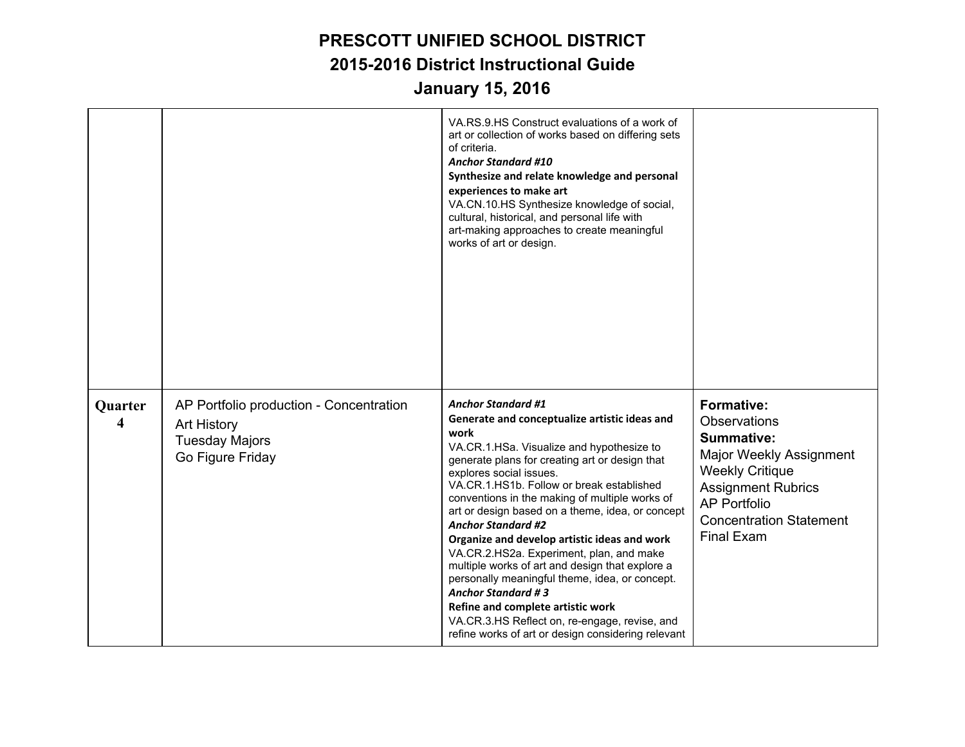|                                    |                                                                                                            | VA.RS.9.HS Construct evaluations of a work of<br>art or collection of works based on differing sets<br>of criteria.<br><b>Anchor Standard #10</b><br>Synthesize and relate knowledge and personal<br>experiences to make art<br>VA.CN.10.HS Synthesize knowledge of social,<br>cultural, historical, and personal life with<br>art-making approaches to create meaningful<br>works of art or design.                                                                                                                                                                                                                                                                                                                                                                   |                                                                                                                                                                                                                        |
|------------------------------------|------------------------------------------------------------------------------------------------------------|------------------------------------------------------------------------------------------------------------------------------------------------------------------------------------------------------------------------------------------------------------------------------------------------------------------------------------------------------------------------------------------------------------------------------------------------------------------------------------------------------------------------------------------------------------------------------------------------------------------------------------------------------------------------------------------------------------------------------------------------------------------------|------------------------------------------------------------------------------------------------------------------------------------------------------------------------------------------------------------------------|
| Quarter<br>$\overline{\mathbf{4}}$ | AP Portfolio production - Concentration<br><b>Art History</b><br><b>Tuesday Majors</b><br>Go Figure Friday | <b>Anchor Standard #1</b><br>Generate and conceptualize artistic ideas and<br>work<br>VA.CR.1.HSa. Visualize and hypothesize to<br>generate plans for creating art or design that<br>explores social issues.<br>VA.CR.1.HS1b. Follow or break established<br>conventions in the making of multiple works of<br>art or design based on a theme, idea, or concept<br><b>Anchor Standard #2</b><br>Organize and develop artistic ideas and work<br>VA.CR.2.HS2a. Experiment, plan, and make<br>multiple works of art and design that explore a<br>personally meaningful theme, idea, or concept.<br><b>Anchor Standard #3</b><br>Refine and complete artistic work<br>VA.CR.3.HS Reflect on, re-engage, revise, and<br>refine works of art or design considering relevant | <b>Formative:</b><br>Observations<br><b>Summative:</b><br>Major Weekly Assignment<br><b>Weekly Critique</b><br><b>Assignment Rubrics</b><br><b>AP Portfolio</b><br><b>Concentration Statement</b><br><b>Final Exam</b> |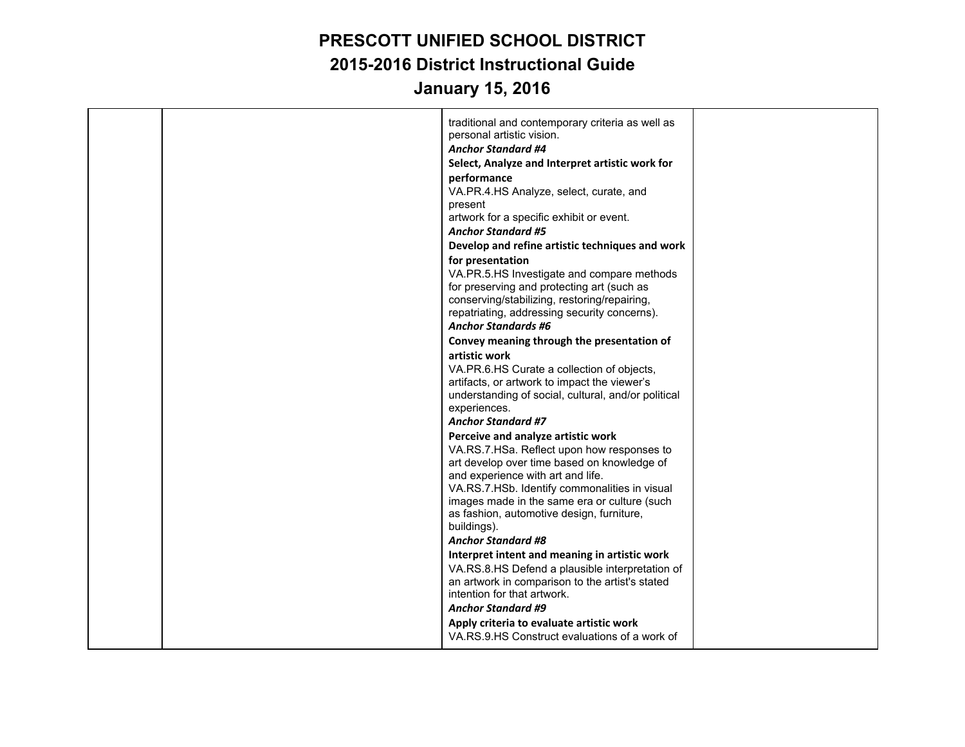|  | traditional and contemporary criteria as well as<br>personal artistic vision.<br><b>Anchor Standard #4</b><br>Select, Analyze and Interpret artistic work for<br>performance<br>VA.PR.4.HS Analyze, select, curate, and<br>present                                                                                                                             |  |
|--|----------------------------------------------------------------------------------------------------------------------------------------------------------------------------------------------------------------------------------------------------------------------------------------------------------------------------------------------------------------|--|
|  | artwork for a specific exhibit or event.                                                                                                                                                                                                                                                                                                                       |  |
|  | <b>Anchor Standard #5</b><br>Develop and refine artistic techniques and work                                                                                                                                                                                                                                                                                   |  |
|  | for presentation<br>VA.PR.5.HS Investigate and compare methods<br>for preserving and protecting art (such as<br>conserving/stabilizing, restoring/repairing,<br>repatriating, addressing security concerns).                                                                                                                                                   |  |
|  | <b>Anchor Standards #6</b>                                                                                                                                                                                                                                                                                                                                     |  |
|  | Convey meaning through the presentation of                                                                                                                                                                                                                                                                                                                     |  |
|  | artistic work<br>VA.PR.6.HS Curate a collection of objects,<br>artifacts, or artwork to impact the viewer's<br>understanding of social, cultural, and/or political<br>experiences.<br><b>Anchor Standard #7</b>                                                                                                                                                |  |
|  | Perceive and analyze artistic work<br>VA.RS.7.HSa. Reflect upon how responses to<br>art develop over time based on knowledge of<br>and experience with art and life.<br>VA.RS.7.HSb. Identify commonalities in visual<br>images made in the same era or culture (such<br>as fashion, automotive design, furniture,<br>buildings).<br><b>Anchor Standard #8</b> |  |
|  | Interpret intent and meaning in artistic work<br>VA.RS.8.HS Defend a plausible interpretation of<br>an artwork in comparison to the artist's stated<br>intention for that artwork.<br><b>Anchor Standard #9</b><br>Apply criteria to evaluate artistic work<br>VA.RS.9.HS Construct evaluations of a work of                                                   |  |